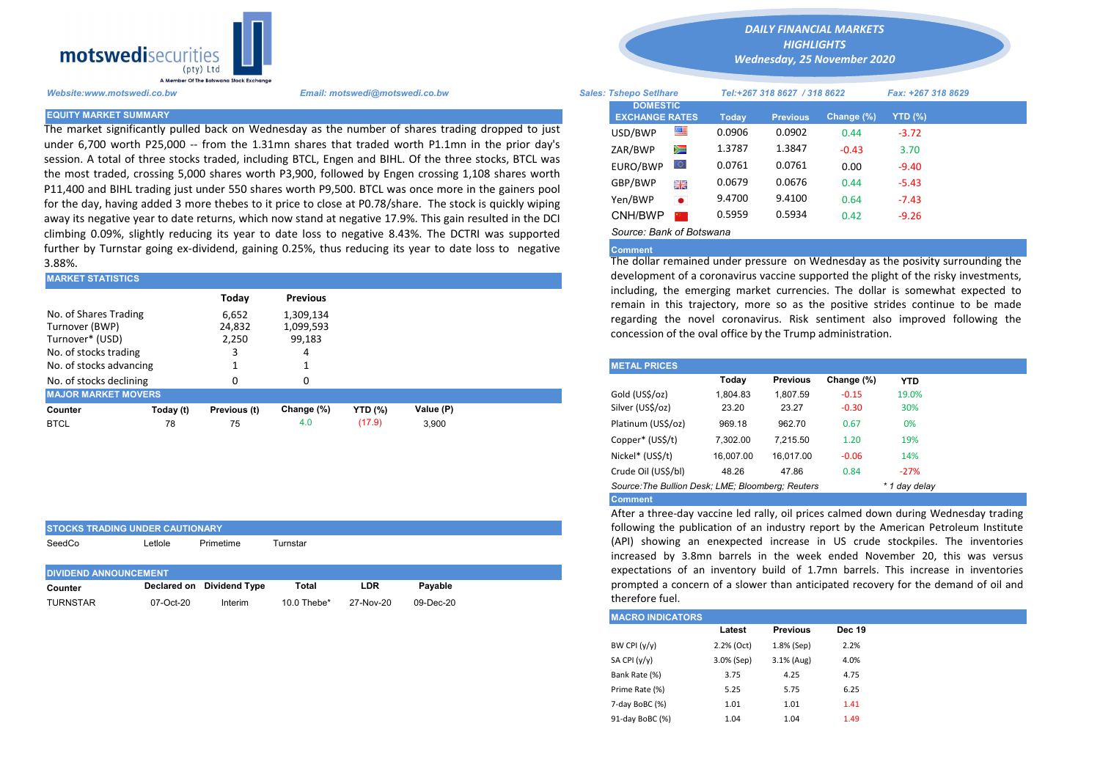

The market significantly pulled back on Wednesday as the number of shares trading dropped to just under 6,700 worth P25,000 -- from the 1.31mn shares that traded worth P1.1mn in the prior day's session. A total of three stocks traded, including BTCL, Engen and BIHL. Of the three stocks, BTCL was the most traded, crossing 5,000 shares worth P3,900, followed by Engen crossing 1,108 shares worth P11,400 and BIHL trading just under 550 shares worth P9,500. BTCL was once more in the gainers pool for the day, having added 3 more thebes to it price to close at P0.78/share. The stock is quickly wiping away its negative year to date returns, which now stand at negative 17.9%. This gain resulted in the DCI climbing 0.09%, slightly reducing its year to date loss to negative 8.43%. The DCTRI was supported further by Turnstar going ex-dividend, gaining 0.25%, thus reducing its year to date loss to negative 3.88%.

| <b>MARKET STATISTICS</b>                                                            |           |                                                              |                 | development of a coronavirus vaccine supported the plight of the ri- |           |                                                                                                                                                                                                                                                                        |                     |          |                 |            |            |  |  |
|-------------------------------------------------------------------------------------|-----------|--------------------------------------------------------------|-----------------|----------------------------------------------------------------------|-----------|------------------------------------------------------------------------------------------------------------------------------------------------------------------------------------------------------------------------------------------------------------------------|---------------------|----------|-----------------|------------|------------|--|--|
|                                                                                     |           | Today                                                        | <b>Previous</b> |                                                                      |           | including, the emerging market currencies. The dollar is somewl<br>remain in this trajectory, more so as the positive strides continent<br>regarding the novel coronavirus. Risk sentiment also improved<br>concession of the oval office by the Trump administration. |                     |          |                 |            |            |  |  |
| No. of Shares Trading<br>Turnover (BWP)<br>Turnover* (USD)<br>No. of stocks trading |           | 6,652<br>1,309,134<br>24,832<br>1,099,593<br>2,250<br>99,183 |                 |                                                                      |           |                                                                                                                                                                                                                                                                        |                     |          |                 |            |            |  |  |
| No. of stocks advancing                                                             |           |                                                              |                 |                                                                      |           |                                                                                                                                                                                                                                                                        | <b>METAL PRICES</b> |          |                 |            |            |  |  |
| No. of stocks declining                                                             |           | 0                                                            |                 |                                                                      |           |                                                                                                                                                                                                                                                                        |                     | Today    | <b>Previous</b> | Change (%) | <b>YTD</b> |  |  |
| <b>MAJOR MARKET MOVERS</b>                                                          |           |                                                              |                 |                                                                      |           |                                                                                                                                                                                                                                                                        | Gold (US\$/oz)      | 1.804.83 | 1.807.59        | $-0.15$    | 19.0%      |  |  |
| Counter                                                                             | Today (t) | Previous (t)                                                 | Change (%)      | <b>YTD</b> (%)                                                       | Value (P) |                                                                                                                                                                                                                                                                        | Silver (US\$/oz)    | 23.20    | 23.27           | $-0.30$    | 30%        |  |  |
| <b>BTCL</b>                                                                         | 78        | 75                                                           | 4.0             | (17.9)                                                               | 3,900     |                                                                                                                                                                                                                                                                        | Platinum (US\$/oz)  | 969.18   | 962.70          | 0.67       | 0%         |  |  |
|                                                                                     |           |                                                              |                 |                                                                      |           |                                                                                                                                                                                                                                                                        |                     |          |                 |            |            |  |  |

| <b>STOCKS TRADING UNDER CAUTIONARY</b> |              |                           |                |            |              |  |  |  |  |  |  |
|----------------------------------------|--------------|---------------------------|----------------|------------|--------------|--|--|--|--|--|--|
| SeedCo                                 | Letlole      | Primetime                 | Turnstar       |            |              |  |  |  |  |  |  |
|                                        |              |                           |                |            |              |  |  |  |  |  |  |
| <b>DIVIDEND ANNOUNCEMENT</b>           |              |                           |                |            |              |  |  |  |  |  |  |
| Counter                                |              | Declared on Dividend Type | Total          | <b>LDR</b> | Pavable      |  |  |  |  |  |  |
| <b>TURNSTAR</b>                        | $07$ -Oct-20 | Interim                   | 10.0 Thebe $*$ | 27-Nov-20  | $09$ -Dec-20 |  |  |  |  |  |  |

*DAILY FINANCIAL MARKETS HIGHLIGHTS*

*Wednesday, 25 November 2020* 

| A Member Of the boiswand slock exchange |                                                                                                                                                                                                         |                                          |                                                               |        |                 |            |                    |  |  |
|-----------------------------------------|---------------------------------------------------------------------------------------------------------------------------------------------------------------------------------------------------------|------------------------------------------|---------------------------------------------------------------|--------|-----------------|------------|--------------------|--|--|
| Website:www.motswedi.co.bw              | Email: motswedi@motswedi.co.bw                                                                                                                                                                          |                                          | <b>Sales: Tshepo Setlhare</b><br>Tel:+267 318 8627 / 318 8622 |        |                 |            | Fax: +267 318 8629 |  |  |
| <b>EQUITY MARKET SUMMARY.</b>           |                                                                                                                                                                                                         | <b>DOMESTIC</b><br><b>EXCHANGE RATES</b> |                                                               | Today  | <b>Previous</b> | Change (%) | YTD (%)            |  |  |
|                                         | The market significantly pulled back on Wednesday as the number of shares trading dropped to just                                                                                                       | USD/BWP                                  | 噻                                                             | 0.0906 | 0.0902          | 0.44       | $-3.72$            |  |  |
|                                         | under 6,700 worth P25,000 -- from the 1.31mn shares that traded worth P1.1mn in the prior day's                                                                                                         | ZAR/BWP                                  | Ň                                                             | 1.3787 | 1.3847          | $-0.43$    | 3.70               |  |  |
|                                         | ession. A total of three stocks traded, including BTCL, Engen and BIHL. Of the three stocks, BTCL was                                                                                                   | EURO/BWP                                 | ЮI                                                            | 0.0761 | 0.0761          | 0.00       | $-9.40$            |  |  |
|                                         | he most traded, crossing 5,000 shares worth P3,900, followed by Engen crossing 1,108 shares worth<br>11,400 and BIHL trading just under 550 shares worth P9,500. BTCL was once more in the gainers pool | GBP/BWP                                  | 開開                                                            | 0.0679 | 0.0676          | 0.44       | $-5.43$            |  |  |
|                                         | or the day, having added 3 more thebes to it price to close at P0.78/share. The stock is quickly wiping                                                                                                 | Yen/BWP                                  | $\bullet$                                                     | 9.4700 | 9.4100          | 0.64       | $-7.43$            |  |  |
|                                         | way its negative year to date returns, which now stand at negative 17.9%. This gain resulted in the DCI                                                                                                 | CNH/BWP                                  |                                                               | 0.5959 | 0.5934          | 0.42       | $-9.26$            |  |  |
|                                         | limbing 0.09%, slightly reducing its year to date loss to negative 8.43%. The DCTRI was supported                                                                                                       | Source: Bank of Botswana                 |                                                               |        |                 |            |                    |  |  |

## **Comment**

The dollar remained under pressure on Wednesday as the posivity surrounding the development of a coronavirus vaccine supported the plight of the risky investments, including, the emerging market currencies. The dollar is somewhat expected to remain in this trajectory, more so as the positive strides continue to be made regarding the novel coronavirus. Risk sentiment also improved following the concession of the oval office by the Trump administration.

| <b>METAL PRICES</b>                               |           |                 |            |               |
|---------------------------------------------------|-----------|-----------------|------------|---------------|
|                                                   | Today     | <b>Previous</b> | Change (%) | <b>YTD</b>    |
| Gold (US\$/oz)                                    | 1.804.83  | 1,807.59        | $-0.15$    | 19.0%         |
| Silver (US\$/oz)                                  | 23.20     | 23.27           | $-0.30$    | 30%           |
| Platinum (US\$/oz)                                | 969.18    | 962.70          | 0.67       | 0%            |
| Copper* (US\$/t)                                  | 7.302.00  | 7.215.50        | 1.20       | 19%           |
| Nickel* (US\$/t)                                  | 16.007.00 | 16.017.00       | $-0.06$    | 14%           |
| Crude Oil (US\$/bl)                               | 48.26     | 47.86           | 0.84       | $-27%$        |
| Source: The Bullion Desk; LME; Bloomberg: Reuters |           |                 |            | * 1 day delay |
| Commont                                           |           |                 |            |               |

Comment

After a three-day vaccine led rally, oil prices calmed down during Wednesday trading following the publication of an industry report by the American Petroleum Institute (API) showing an enexpected increase in US crude stockpiles. The inventories increased by 3.8mn barrels in the week ended November 20, this was versus expectations of an inventory build of 1.7mn barrels. This increase in inventories prompted a concern of a slower than anticipated recovery for the demand of oil and therefore fuel.

| <b>MACRO INDICATORS</b> |            |                 |               |
|-------------------------|------------|-----------------|---------------|
|                         | Latest     | <b>Previous</b> | <b>Dec 19</b> |
| BW CPI $(y/y)$          | 2.2% (Oct) | 1.8% (Sep)      | 2.2%          |
| SA CPI (y/y)            | 3.0% (Sep) | $3.1%$ (Aug)    | 4.0%          |
| Bank Rate (%)           | 3.75       | 4.25            | 4.75          |
| Prime Rate (%)          | 5.25       | 5.75            | 6.25          |
| 7-day BoBC (%)          | 1.01       | 1.01            | 1.41          |
| 91-day BoBC (%)         | 1.04       | 1.04            | 1.49          |